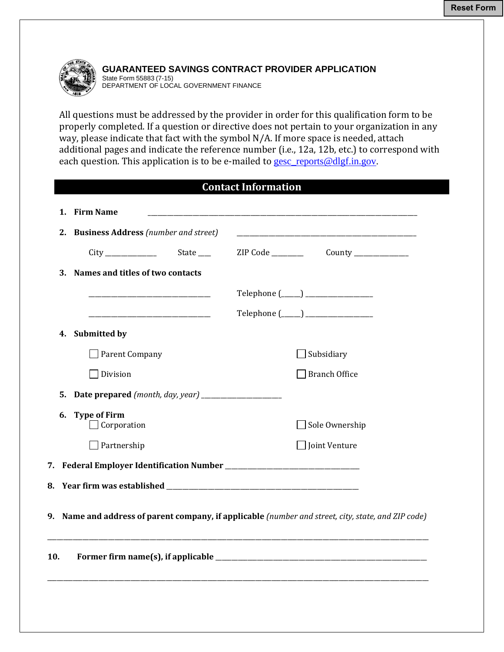

**GUARANTEED SAVINGS CONTRACT PROVIDER APPLICATION**  State Form 55883 (7-15)

DEPARTMENT OF LOCAL GOVERNMENT FINANCE

All questions must be addressed by the provider in order for this qualification form to be properly completed. If a question or directive does not pertain to your organization in any way, please indicate that fact with the symbol N/A. If more space is needed, attach additional pages and indicate the reference number (i.e., 12a, 12b, etc.) to correspond with each question. This application is to be e-mailed to <u>gesc\_reports@dlgf.in.gov</u>.

| <b>Contact Information</b> |
|----------------------------|
|                            |

|                                                                                                     | 1. Firm Name                            |  |                                                                                                                      |  |  |
|-----------------------------------------------------------------------------------------------------|-----------------------------------------|--|----------------------------------------------------------------------------------------------------------------------|--|--|
|                                                                                                     | 2. Business Address (number and street) |  | <u> 1989 - Johann Stein, mars an deutscher Stein und der Stein und der Stein und der Stein und der Stein und der</u> |  |  |
|                                                                                                     | State _____                             |  |                                                                                                                      |  |  |
| 3.                                                                                                  | Names and titles of two contacts        |  |                                                                                                                      |  |  |
|                                                                                                     |                                         |  | $Telephone (\_\_) \_\_$                                                                                              |  |  |
|                                                                                                     |                                         |  | $Telephone (\_\_) \_\_$                                                                                              |  |  |
|                                                                                                     | 4. Submitted by                         |  |                                                                                                                      |  |  |
|                                                                                                     | $\Box$ Parent Company                   |  | $\Box$ Subsidiary                                                                                                    |  |  |
|                                                                                                     | Division                                |  | Branch Office                                                                                                        |  |  |
| 5.                                                                                                  |                                         |  |                                                                                                                      |  |  |
| 6.                                                                                                  | <b>Type of Firm</b><br>Corporation      |  | Sole Ownership                                                                                                       |  |  |
|                                                                                                     | $\Box$ Partnership                      |  | $\Box$ Joint Venture                                                                                                 |  |  |
|                                                                                                     |                                         |  |                                                                                                                      |  |  |
|                                                                                                     |                                         |  |                                                                                                                      |  |  |
| 9. Name and address of parent company, if applicable (number and street, city, state, and ZIP code) |                                         |  |                                                                                                                      |  |  |
| 10.                                                                                                 |                                         |  |                                                                                                                      |  |  |
|                                                                                                     |                                         |  |                                                                                                                      |  |  |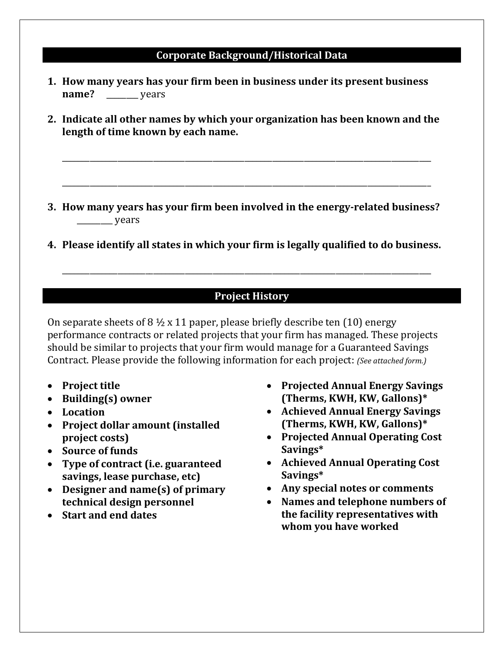#### **Corporate Background/Historical Data**

- **1. How many years has your firm been in business under its present business name?** vears
- **2. Indicate all other names by which your organization has been known and the length of time known by each name.**

\_\_\_\_\_\_\_\_\_\_\_\_\_\_\_\_\_\_\_\_\_\_\_\_\_\_\_\_\_\_\_\_\_\_\_\_\_\_\_\_\_\_\_\_\_\_\_\_\_\_\_\_\_\_\_\_\_\_\_\_\_\_\_\_\_\_\_\_\_\_\_\_\_\_\_\_\_\_\_\_\_\_\_\_\_\_\_\_\_\_\_\_\_ 

\_\_\_\_\_\_\_\_\_\_\_\_\_\_\_\_\_\_\_\_\_\_\_\_\_\_\_\_\_\_\_\_\_\_\_\_\_\_\_\_\_\_\_\_\_\_\_\_\_\_\_\_\_\_\_\_\_\_\_\_\_\_\_\_\_\_\_\_\_\_\_\_\_\_\_\_\_\_\_\_\_\_\_\_\_\_\_\_\_\_\_\_\_

- **3. How many years has your firm been involved in the energy‐related business?**  $\frac{1}{\sqrt{2\pi}}$  years
- **4. Please identify all states in which your firm is legally qualified to do business.**

\_\_\_\_\_\_\_\_\_\_\_\_\_\_\_\_\_\_\_\_\_\_\_\_\_\_\_\_\_\_\_\_\_\_\_\_\_\_\_\_\_\_\_\_\_\_\_\_\_\_\_\_\_\_\_\_\_\_\_\_\_\_\_\_\_\_\_\_\_\_\_\_\_\_\_\_\_\_\_\_\_\_\_\_\_\_\_\_\_\_\_\_\_ 

### **Project History**

On separate sheets of  $8\frac{1}{2} \times 11$  paper, please briefly describe ten (10) energy performance contracts or related projects that your firm has managed. These projects should be similar to projects that your firm would manage for a Guaranteed Savings Contract. Please provide the following information for each project: *(See attached form.)* 

- **Project title**
- **Building(s) owner**
- **Location**
- **Project dollar amount (installed project costs)**
- **Source of funds**
- **Type of contract (i.e. guaranteed savings, lease purchase, etc)**
- **Designer and name(s) of primary technical design personnel**
- **Start and end dates**
- **Projected Annual Energy Savings (Therms, KWH, KW, Gallons)\***
- **Achieved Annual Energy Savings (Therms, KWH, KW, Gallons)\***
- **Projected Annual Operating Cost Savings\***
- **Achieved Annual Operating Cost Savings\***
- **Any special notes or comments**
- **Names and telephone numbers of the facility representatives with whom you have worked**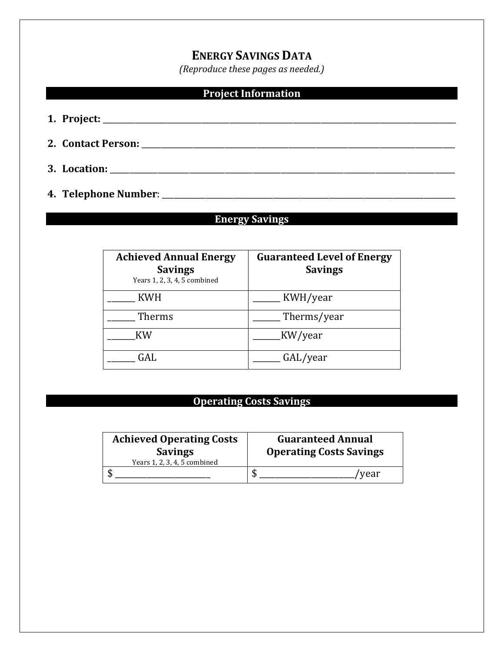# **ENERGY SAVINGS DATA**

*(Reproduce these pages as needed.)*

### **Project Information**

- **1. Project:** \_\_\_\_\_\_\_\_\_\_\_\_\_\_\_\_\_\_\_\_\_\_\_\_\_\_\_\_\_\_\_\_\_\_\_\_\_\_\_\_\_\_\_\_\_\_\_\_\_\_\_\_\_\_\_\_\_\_\_\_\_\_\_\_\_\_\_\_\_\_\_\_\_\_\_\_\_\_\_\_\_\_\_\_\_\_\_\_\_
- **2. Contact Person:** \_\_\_\_\_\_\_\_\_\_\_\_\_\_\_\_\_\_\_\_\_\_\_\_\_\_\_\_\_\_\_\_\_\_\_\_\_\_\_\_\_\_\_\_\_\_\_\_\_\_\_\_\_\_\_\_\_\_\_\_\_\_\_\_\_\_\_\_\_\_\_\_\_\_\_\_\_\_\_
- **3. Location:** \_\_\_\_\_\_\_\_\_\_\_\_\_\_\_\_\_\_\_\_\_\_\_\_\_\_\_\_\_\_\_\_\_\_\_\_\_\_\_\_\_\_\_\_\_\_\_\_\_\_\_\_\_\_\_\_\_\_\_\_\_\_\_\_\_\_\_\_\_\_\_\_\_\_\_\_\_\_\_\_\_\_\_\_\_\_\_
- **4. Telephone Number**: \_\_\_\_\_\_\_\_\_\_\_\_\_\_\_\_\_\_\_\_\_\_\_\_\_\_\_\_\_\_\_\_\_\_\_\_\_\_\_\_\_\_\_\_\_\_\_\_\_\_\_\_\_\_\_\_\_\_\_\_\_\_\_\_\_\_\_\_\_\_\_\_\_\_

### **Energy Savings**

| <b>Achieved Annual Energy</b><br><b>Savings</b><br>Years 1, 2, 3, 4, 5 combined | <b>Guaranteed Level of Energy</b><br><b>Savings</b> |  |
|---------------------------------------------------------------------------------|-----------------------------------------------------|--|
| <b>KWH</b>                                                                      | KWH/year                                            |  |
| Therms                                                                          | Therms/year                                         |  |
| <b>KW</b>                                                                       | KW/year                                             |  |
| GAL.                                                                            | GAL/year                                            |  |

## **Operating Costs Savings**

| <b>Achieved Operating Costs</b><br><b>Savings</b><br>Years 1, 2, 3, 4, 5 combined | <b>Guaranteed Annual</b><br><b>Operating Costs Savings</b> |
|-----------------------------------------------------------------------------------|------------------------------------------------------------|
|                                                                                   | /vear                                                      |